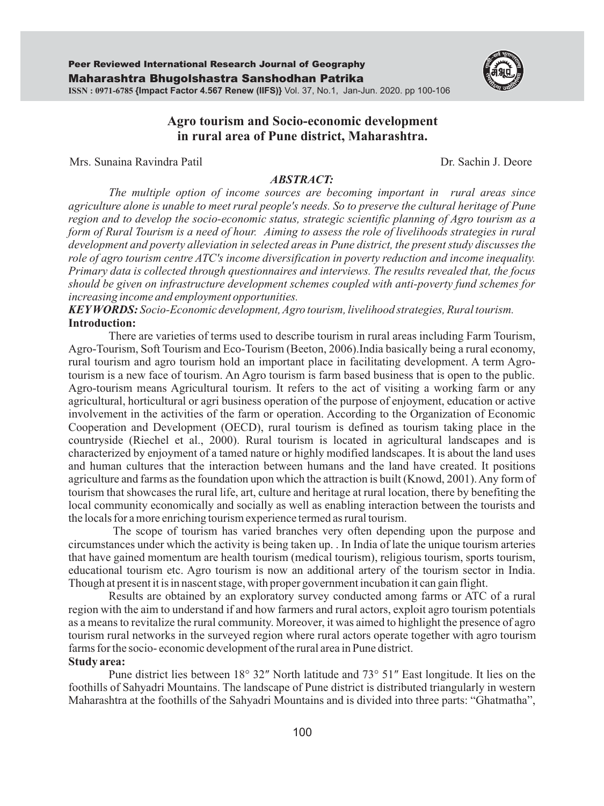

# **Agro tourism and Socio-economic development in rural area of Pune district, Maharashtra.**

Mrs. Sunaina Ravindra Patil Dr. Sachin J. Deore

#### *ABSTRACT:*

*The multiple option of income sources are becoming important in rural areas since agriculture alone is unable to meet rural people's needs. So to preserve the cultural heritage of Pune region and to develop the socio-economic status, strategic scientific planning of Agro tourism as a form of Rural Tourism is a need of hour. Aiming to assess the role of livelihoods strategies in rural development and poverty alleviation in selected areas in Pune district, the present study discusses the role of agro tourism centre ATC's income diversification in poverty reduction and income inequality. Primary data is collected through questionnaires and interviews. The results revealed that, the focus should be given on infrastructure development schemes coupled with anti-poverty fund schemes for increasing income and employment opportunities.*

*KEYWORDS: Socio-Economic development, Agro tourism, livelihood strategies, Rural tourism.* **Introduction:**

There are varieties of terms used to describe tourism in rural areas including Farm Tourism, Agro-Tourism, Soft Tourism and Eco-Tourism (Beeton, 2006).India basically being a rural economy, rural tourism and agro tourism hold an important place in facilitating development. A term Agrotourism is a new face of tourism. An Agro tourism is farm based business that is open to the public. Agro-tourism means Agricultural tourism. It refers to the act of visiting a working farm or any agricultural, horticultural or agri business operation of the purpose of enjoyment, education or active involvement in the activities of the farm or operation. According to the Organization of Economic Cooperation and Development (OECD), rural tourism is defined as tourism taking place in the countryside (Riechel et al., 2000). Rural tourism is located in agricultural landscapes and is characterized by enjoyment of a tamed nature or highly modified landscapes. It is about the land uses and human cultures that the interaction between humans and the land have created. It positions agriculture and farms as the foundation upon which the attraction is built (Knowd, 2001). Any form of tourism that showcases the rural life, art, culture and heritage at rural location, there by benefiting the local community economically and socially as well as enabling interaction between the tourists and the locals for a more enriching tourism experience termed as rural tourism.

The scope of tourism has varied branches very often depending upon the purpose and circumstances under which the activity is being taken up. . In India of late the unique tourism arteries that have gained momentum are health tourism (medical tourism), religious tourism, sports tourism, educational tourism etc. Agro tourism is now an additional artery of the tourism sector in India. Though at present it is in nascent stage, with proper government incubation it can gain flight.

Results are obtained by an exploratory survey conducted among farms or ATC of a rural region with the aim to understand if and how farmers and rural actors, exploit agro tourism potentials as a means to revitalize the rural community. Moreover, it was aimed to highlight the presence of agro tourism rural networks in the surveyed region where rural actors operate together with agro tourism farms for the socio- economic development of the rural area in Pune district. **Study area:**

Pune district lies between 18° 32″ North latitude and 73° 51″ East longitude. It lies on the foothills of Sahyadri Mountains. The landscape of Pune district is distributed triangularly in western Maharashtra at the foothills of the Sahyadri Mountains and is divided into three parts: "Ghatmatha",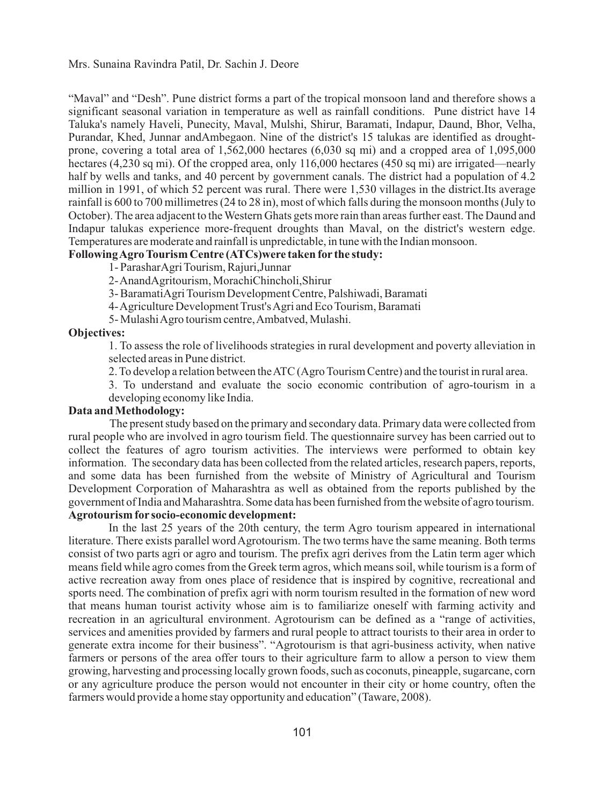"Maval" and "Desh". Pune district forms a part of the tropical monsoon land and therefore shows a significant seasonal variation in temperature as well as rainfall conditions. Pune district have 14 Taluka's namely Haveli, Punecity, Maval, Mulshi, Shirur, Baramati, Indapur, Daund, Bhor, Velha, Purandar, Khed, Junnar andAmbegaon. Nine of the district's 15 talukas are identified as droughtprone, covering a total area of 1,562,000 hectares (6,030 sq mi) and a cropped area of 1,095,000 hectares (4,230 sq mi). Of the cropped area, only 116,000 hectares (450 sq mi) are irrigated—nearly half by wells and tanks, and 40 percent by government canals. The district had a population of 4.2 million in 1991, of which 52 percent was rural. There were 1,530 villages in the district.Its average rainfall is 600 to 700 millimetres (24 to 28 in), most of which falls during the monsoon months (July to October). The area adjacent to the Western Ghats gets more rain than areas further east. The Daund and Indapur talukas experience more-frequent droughts than Maval, on the district's western edge. Temperatures are moderate and rainfall is unpredictable, in tune with the Indian monsoon.

# **Following Agro Tourism Centre (ATCs)were taken for the study:**

1- ParasharAgri Tourism, Rajuri,Junnar

2- AnandAgritourism, MorachiChincholi,Shirur

3- BaramatiAgri Tourism Development Centre, Palshiwadi, Baramati

4- Agriculture Development Trust's Agri and Eco Tourism, Baramati

5- Mulashi Agro tourism centre, Ambatved, Mulashi.

#### **Objectives:**

1. To assess the role of livelihoods strategies in rural development and poverty alleviation in selected areas in Pune district.

2. To develop a relation between the ATC (Agro Tourism Centre) and the tourist in rural area.

3. To understand and evaluate the socio economic contribution of agro-tourism in a developing economy like India.

## **Data and Methodology:**

The present study based on the primary and secondary data. Primary data were collected from rural people who are involved in agro tourism field. The questionnaire survey has been carried out to collect the features of agro tourism activities. The interviews were performed to obtain key information. The secondary data has been collected from the related articles, research papers, reports, and some data has been furnished from the website of Ministry of Agricultural and Tourism Development Corporation of Maharashtra as well as obtained from the reports published by the government of India and Maharashtra. Some data has been furnished from the website of agro tourism.

# **Agrotourism for socio-economic development:**

In the last 25 years of the 20th century, the term Agro tourism appeared in international literature. There exists parallel word Agrotourism. The two terms have the same meaning. Both terms consist of two parts agri or agro and tourism. The prefix agri derives from the Latin term ager which means field while agro comes from the Greek term agros, which means soil, while tourism is a form of active recreation away from ones place of residence that is inspired by cognitive, recreational and sports need. The combination of prefix agri with norm tourism resulted in the formation of new word that means human tourist activity whose aim is to familiarize oneself with farming activity and recreation in an agricultural environment. Agrotourism can be defined as a "range of activities, services and amenities provided by farmers and rural people to attract tourists to their area in order to generate extra income for their business". "Agrotourism is that agri-business activity, when native farmers or persons of the area offer tours to their agriculture farm to allow a person to view them growing, harvesting and processing locally grown foods, such as coconuts, pineapple, sugarcane, corn or any agriculture produce the person would not encounter in their city or home country, often the farmers would provide a home stay opportunity and education" (Taware, 2008).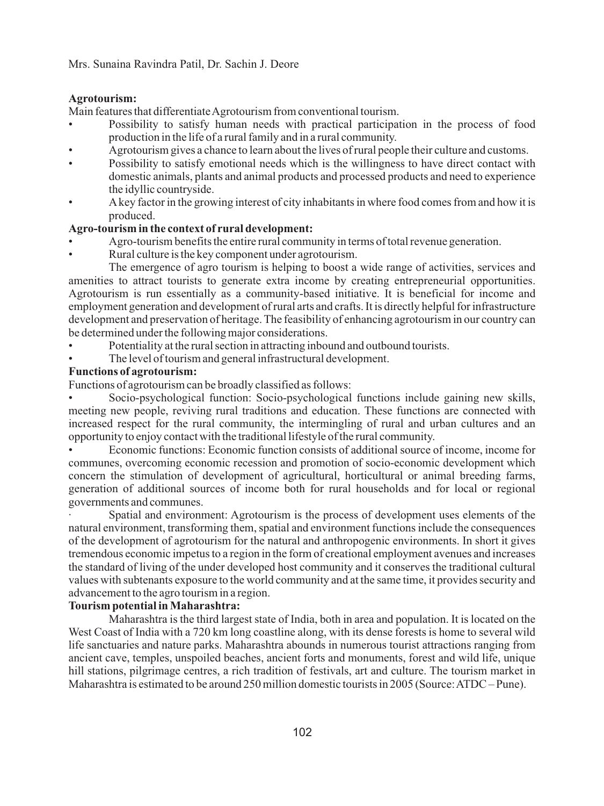#### **Agrotourism:**

Main features that differentiate Agrotourism from conventional tourism.

- Possibility to satisfy human needs with practical participation in the process of food production in the life of a rural family and in a rural community.
- Agrotourism gives a chance to learn about the lives of rural people their culture and customs. •
- Possibility to satisfy emotional needs which is the willingness to have direct contact with domestic animals, plants and animal products and processed products and need to experience the idyllic countryside. •
- Akey factor in the growing interest of city inhabitants in where food comes from and how it is produced. •

### **Agro-tourism in the context of rural development:**

- Agro-tourism benefits the entire rural community in terms of total revenue generation. •
- Rural culture is the key component under agrotourism. •

The emergence of agro tourism is helping to boost a wide range of activities, services and amenities to attract tourists to generate extra income by creating entrepreneurial opportunities. Agrotourism is run essentially as a community-based initiative. It is beneficial for income and employment generation and development of rural arts and crafts. It is directly helpful for infrastructure development and preservation of heritage. The feasibility of enhancing agrotourism in our country can be determined under the following major considerations.

- Potentiality at the rural section in attracting inbound and outbound tourists. •
- The level of tourism and general infrastructural development. •

# **Functions of agrotourism:**

Functions of agrotourism can be broadly classified as follows:

Socio-psychological function: Socio-psychological functions include gaining new skills, meeting new people, reviving rural traditions and education. These functions are connected with increased respect for the rural community, the intermingling of rural and urban cultures and an opportunity to enjoy contact with the traditional lifestyle of the rural community. •

Economic functions: Economic function consists of additional source of income, income for communes, overcoming economic recession and promotion of socio-economic development which concern the stimulation of development of agricultural, horticultural or animal breeding farms, generation of additional sources of income both for rural households and for local or regional governments and communes. •

· Spatial and environment: Agrotourism is the process of development uses elements of the natural environment, transforming them, spatial and environment functions include the consequences of the development of agrotourism for the natural and anthropogenic environments. In short it gives tremendous economic impetus to a region in the form of creational employment avenues and increases the standard of living of the under developed host community and it conserves the traditional cultural values with subtenants exposure to the world community and at the same time, it provides security and advancement to the agro tourism in a region.

# **Tourism potential in Maharashtra:**

Maharashtra is the third largest state of India, both in area and population. It is located on the West Coast of India with a 720 km long coastline along, with its dense forests is home to several wild life sanctuaries and nature parks. Maharashtra abounds in numerous tourist attractions ranging from ancient cave, temples, unspoiled beaches, ancient forts and monuments, forest and wild life, unique hill stations, pilgrimage centres, a rich tradition of festivals, art and culture. The tourism market in Maharashtra is estimated to be around 250 million domestic tourists in 2005 (Source: ATDC – Pune).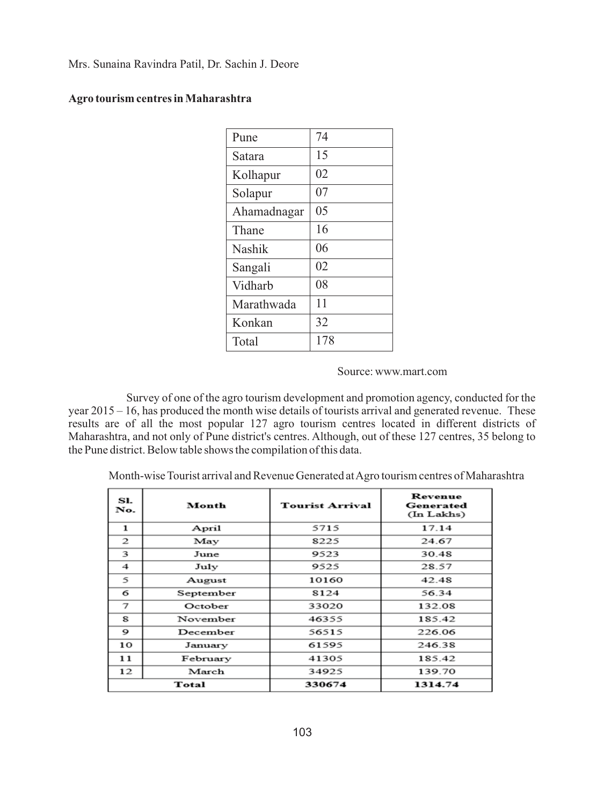| Pune        | 74  |
|-------------|-----|
| Satara      | 15  |
| Kolhapur    | 02  |
| Solapur     | 07  |
| Ahamadnagar | 05  |
| Thane       | 16  |
| Nashik      | 06  |
| Sangali     | 02  |
| Vidharb     | 08  |
| Marathwada  | 11  |
| Konkan      | 32  |
| Total       | 178 |

# **Agro tourism centres in Maharashtra**

### Source: www.mart.com

Survey of one of the agro tourism development and promotion agency, conducted for the year 2015 – 16, has produced the month wise details of tourists arrival and generated revenue. These results are of all the most popular 127 agro tourism centres located in different districts of Maharashtra, and not only of Pune district's centres. Although, out of these 127 centres, 35 belong to the Pune district. Below table shows the compilation of this data.

Month-wise Tourist arrival and Revenue Generated at Agro tourism centres of Maharashtra

| SI.<br>No. | Month     | <b>Tourist Arrival</b> | Revenue<br>Generated<br>(In Lakhs) |
|------------|-----------|------------------------|------------------------------------|
| 1          | April     | 5715                   | 17.14                              |
| 2          | May       | 8225                   | 24.67                              |
| 3          | June      | 9523                   | 30.48                              |
| 4          | July      | 9525                   | 28.57                              |
| 5          | August    | 10160                  | 42.48                              |
| 6          | September | 8124                   | 56.34                              |
| 7          | October   | 33020                  | 132.08                             |
| 8          | November  | 46355                  | 185.42                             |
| 9          | December  | 56515                  | 226.06                             |
| 10         | January   | 61595                  | 246.38                             |
| 11         | February  | 41305                  | 185.42                             |
| 12         | March     | 34925                  | 139.70                             |
|            | Total     | 330674                 | 1314.74                            |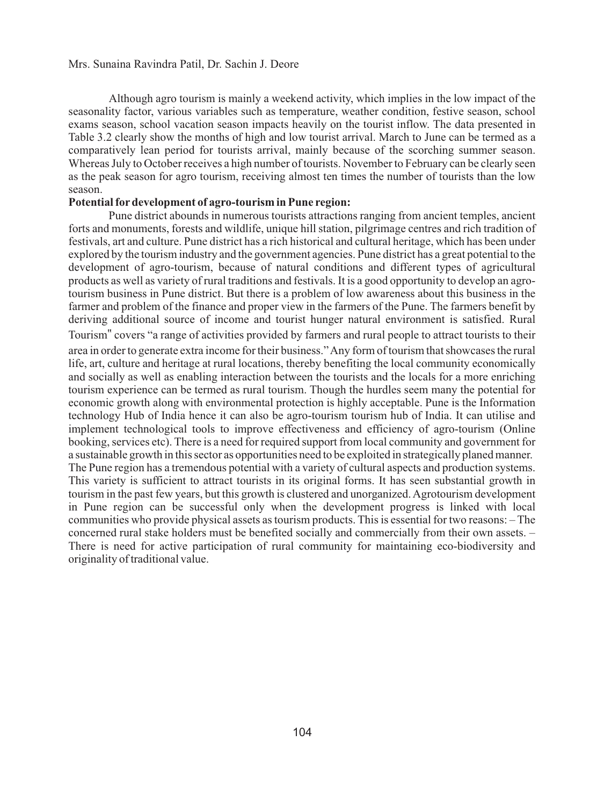Although agro tourism is mainly a weekend activity, which implies in the low impact of the seasonality factor, various variables such as temperature, weather condition, festive season, school exams season, school vacation season impacts heavily on the tourist inflow. The data presented in Table 3.2 clearly show the months of high and low tourist arrival. March to June can be termed as a comparatively lean period for tourists arrival, mainly because of the scorching summer season. Whereas July to October receives a high number of tourists. November to February can be clearly seen as the peak season for agro tourism, receiving almost ten times the number of tourists than the low season.

## **Potential fordevelopment of agro-tourism in Pune region:**

Pune district abounds in numerous tourists attractions ranging from ancient temples, ancient forts and monuments, forests and wildlife, unique hill station, pilgrimage centres and rich tradition of festivals, art and culture. Pune district has a rich historical and cultural heritage, which has been under explored by the tourism industry and the government agencies. Pune district has a great potential to the development of agro-tourism, because of natural conditions and different types of agricultural products as well as variety of rural traditions and festivals. It is a good opportunity to develop an agrotourism business in Pune district. But there is a problem of low awareness about this business in the farmer and problem of the finance and proper view in the farmers of the Pune. The farmers benefit by deriving additional source of income and tourist hunger natural environment is satisfied. Rural

Tourism" covers "a range of activities provided by farmers and rural people to attract tourists to their area in order to generate extra income for their business." Any form of tourism that showcases the rural life, art, culture and heritage at rural locations, thereby benefiting the local community economically and socially as well as enabling interaction between the tourists and the locals for a more enriching tourism experience can be termed as rural tourism. Though the hurdles seem many the potential for economic growth along with environmental protection is highly acceptable. Pune is the Information technology Hub of India hence it can also be agro-tourism tourism hub of India. It can utilise and implement technological tools to improve effectiveness and efficiency of agro-tourism (Online booking, services etc). There is a need for required support from local community and government for a sustainable growth in this sector as opportunities need to be exploited in strategically planed manner. The Pune region has a tremendous potential with a variety of cultural aspects and production systems. This variety is sufficient to attract tourists in its original forms. It has seen substantial growth in tourism in the past few years, but this growth is clustered and unorganized. Agrotourism development in Pune region can be successful only when the development progress is linked with local communities who provide physical assets as tourism products. This is essential for two reasons: – The concerned rural stake holders must be benefited socially and commercially from their own assets. – There is need for active participation of rural community for maintaining eco-biodiversity and originality of traditional value.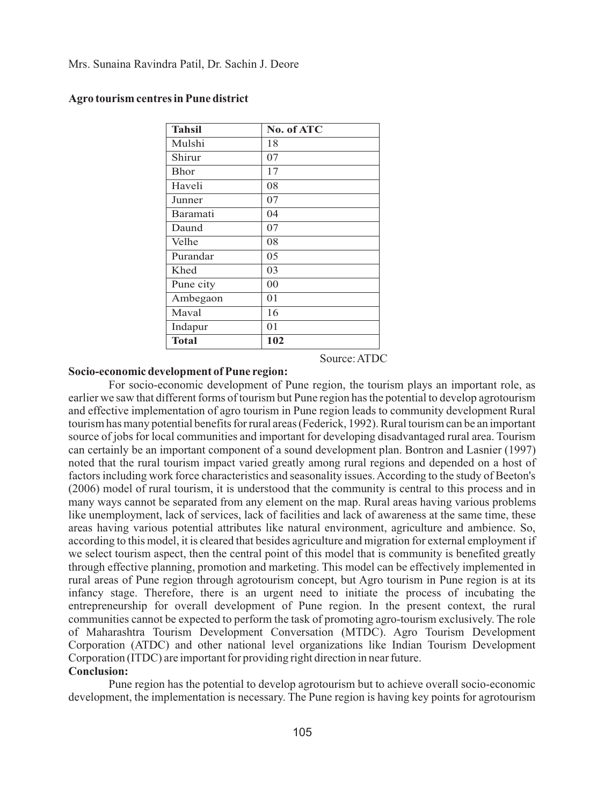| <b>Tahsil</b> | No. of ATC |
|---------------|------------|
| Mulshi        | 18         |
| Shirur        | 07         |
| <b>Bhor</b>   | 17         |
| Haveli        | 08         |
| Junner        | 07         |
| Baramati      | 04         |
| Daund         | 07         |
| Velhe         | 08         |
| Purandar      | 05         |
| Khed          | 03         |
| Pune city     | 00         |
| Ambegaon      | 01         |
| Maval         | 16         |
| Indapur       | 01         |
| <b>Total</b>  | 102        |

## **Agro tourism centres in Pune district**

Source: ATDC

## **Socio-economic development of Pune region:**

For socio-economic development of Pune region, the tourism plays an important role, as earlier we saw that different forms of tourism but Pune region has the potential to develop agrotourism and effective implementation of agro tourism in Pune region leads to community development Rural tourism has many potential benefits for rural areas (Federick, 1992). Rural tourism can be an important source of jobs for local communities and important for developing disadvantaged rural area. Tourism can certainly be an important component of a sound development plan. Bontron and Lasnier (1997) noted that the rural tourism impact varied greatly among rural regions and depended on a host of factors including work force characteristics and seasonality issues. According to the study of Beeton's (2006) model of rural tourism, it is understood that the community is central to this process and in many ways cannot be separated from any element on the map. Rural areas having various problems like unemployment, lack of services, lack of facilities and lack of awareness at the same time, these areas having various potential attributes like natural environment, agriculture and ambience. So, according to this model, it is cleared that besides agriculture and migration for external employment if we select tourism aspect, then the central point of this model that is community is benefited greatly through effective planning, promotion and marketing. This model can be effectively implemented in rural areas of Pune region through agrotourism concept, but Agro tourism in Pune region is at its infancy stage. Therefore, there is an urgent need to initiate the process of incubating the entrepreneurship for overall development of Pune region. In the present context, the rural communities cannot be expected to perform the task of promoting agro-tourism exclusively. The role of Maharashtra Tourism Development Conversation (MTDC). Agro Tourism Development Corporation (ATDC) and other national level organizations like Indian Tourism Development Corporation (ITDC) are important for providing right direction in near future.

# **Conclusion:**

Pune region has the potential to develop agrotourism but to achieve overall socio-economic development, the implementation is necessary. The Pune region is having key points for agrotourism